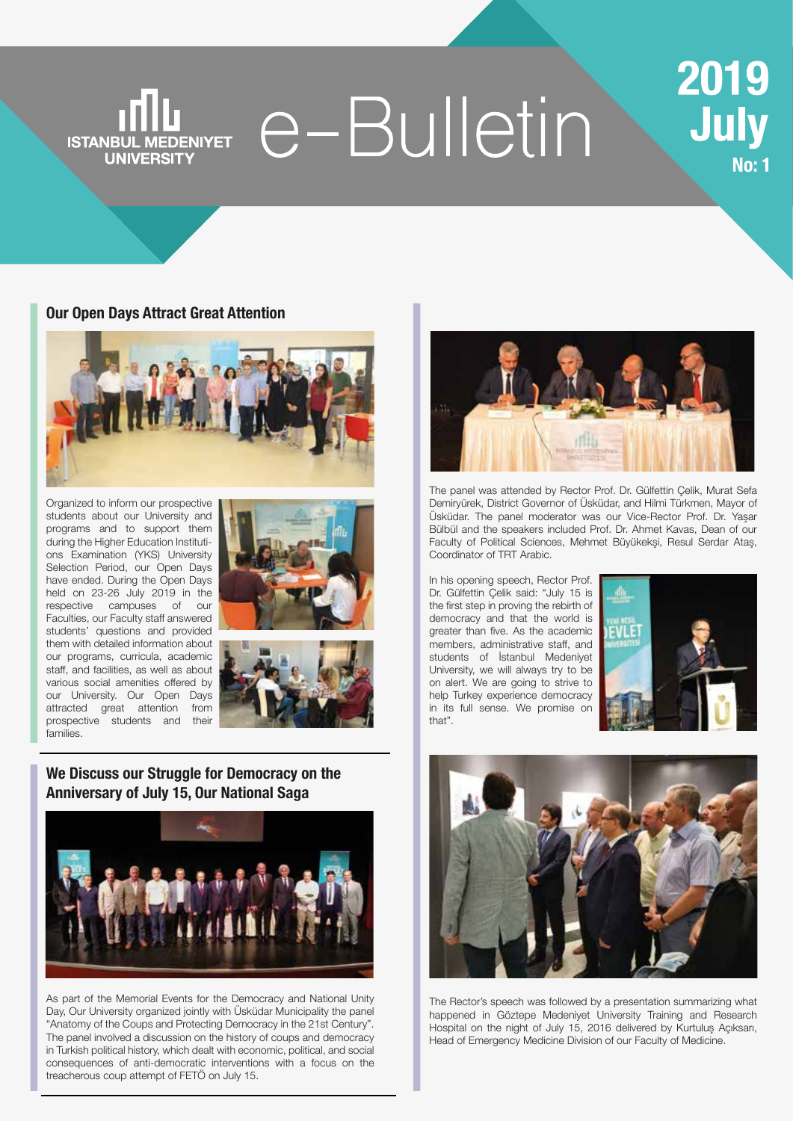# e-Bulletin **ISTANBUL MEDENIYET UNIVERSITY**

#### **[Our Open Days Attract Great Attention](https://www.medeniyet.edu.tr/en/news/our-open-days-attract-great-attention)**



Organized to inform our prospective students about our University and programs and to support them during the Higher Education Institutions Examination (YKS) University Selection Period, our Open Days have ended. During the Open Days held on 23-26 July 2019 in the respective campuses of our Faculties, our Faculty staff answered students' questions and provided them with detailed information about our programs, curricula, academic staff, and facilities, as well as about various social amenities offered by our University. Our Open Days attracted great attention from prospective students and their families.





## **[We Discuss our Struggle for Democracy on the](https://www.medeniyet.edu.tr/en/news/we-discuss-our-struggle-for-democracy-on-the-anniversary-of-july-15-our-national-saga)  Anniversary of July 15, Our National Saga**



As part of the Memorial Events for the Democracy and National Unity Day, Our University organized jointly with Üsküdar Municipality the panel "Anatomy of the Coups and Protecting Democracy in the 21st Century". The panel involved a discussion on the history of coups and democracy in Turkish political history, which dealt with economic, political, and social consequences of anti-democratic interventions with a focus on the treacherous coup attempt of FETÖ on July 15.



The panel was attended by Rector Prof. Dr. Gülfettin Çelik, Murat Sefa Demiryürek, District Governor of Üsküdar, and Hilmi Türkmen, Mayor of Üsküdar. The panel moderator was our Vice-Rector Prof. Dr. Yaşar Bülbül and the speakers included Prof. Dr. Ahmet Kavas, Dean of our Faculty of Political Sciences, Mehmet Büyükekşi, Resul Serdar Ataş, Coordinator of TRT Arabic.

In his opening speech, Rector Prof. Dr. Gülfettin Çelik said: "July 15 is the first step in proving the rebirth of democracy and that the world is greater than five. As the academic members, administrative staff, and students of İstanbul Medeniyet University, we will always try to be on alert. We are going to strive to help Turkey experience democracy in its full sense. We promise on that".





The Rector's speech was followed by a presentation summarizing what happened in Göztepe Medeniyet University Training and Research Hospital on the night of July 15, 2016 delivered by Kurtuluş Açıksarı, Head of Emergency Medicine Division of our Faculty of Medicine.

# 2019 July **No: 1**